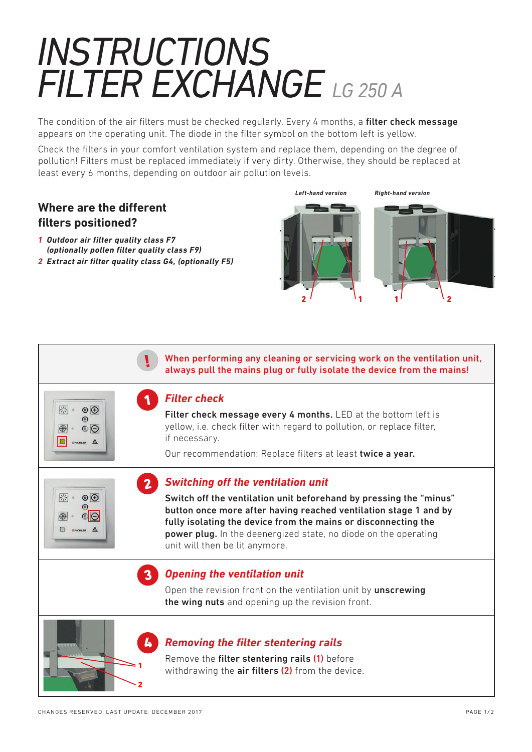## *INSTRUCTIONS FILTER EXCHANGE LG 250 A*

The condition of the air filters must be checked regularly. Every 4 months, a filter check message appears on the operating unit. The diode in the filter symbol on the bottom left is yellow.

Check the filters in your comfort ventilation system and replace them, depending on the degree of pollution! Filters must be replaced immediately if very dirty. Otherwise, they should be replaced at least every 6 months, depending on outdoor air pollution levels.

## **Where are the different filters positioned?**

- *1 Outdoor air filter quality class F7 (optionally pollen filter quality class F9)*
- *2 Extract air filter quality class G4, (optionally F5)*